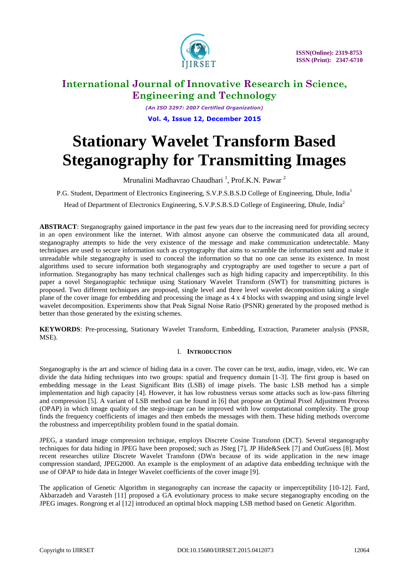

*(An ISO 3297: 2007 Certified Organization)* **Vol. 4, Issue 12, December 2015**

# **Stationary Wavelet Transform Based Steganography for Transmitting Images**

Mrunalini Madhavrao Chaudhari<sup>1</sup>, Prof.K.N. Pawar<sup>2</sup>

P.G. Student, Department of Electronics Engineering, S.V.P.S.B.S.D College of Engineering, Dhule, India<sup>1</sup>

Head of Department of Electronics Engineering, S.V.P.S.B.S.D College of Engineering, Dhule, India<sup>2</sup>

**ABSTRACT**: Steganography gained importance in the past few years due to the increasing need for providing secrecy in an open environment like the internet. With almost anyone can observe the communicated data all around, steganography attempts to hide the very existence of the message and make communication undetectable. Many techniques are used to secure information such as cryptography that aims to scramble the information sent and make it unreadable while steganography is used to conceal the information so that no one can sense its existence. In most algorithms used to secure information both steganography and cryptography are used together to secure a part of information. Steganography has many technical challenges such as high hiding capacity and imperceptibility. In this paper a novel Steganographic technique using Stationary Wavelet Transform (SWT) for transmitting pictures is proposed. Two different techniques are proposed, single level and three level wavelet decomposition taking a single plane of the cover image for embedding and processing the image as 4 x 4 blocks with swapping and using single level wavelet decomposition. Experiments show that Peak Signal Noise Ratio (PSNR) generated by the proposed method is better than those generated by the existing schemes.

**KEYWORDS**: Pre-processing, Stationary Wavelet Transform, Embedding, Extraction, Parameter analysis (PNSR, MSE).

# I. **INTRODUCTION**

Steganography is the art and science of hiding data in a cover. The cover can be text, audio, image, video, etc. We can divide the data hiding techniques into two groups: spatial and frequency domain [1-3]. The first group is based on embedding message in the Least Significant Bits (LSB) of image pixels. The basic LSB method has a simple implementation and high capacity [4]. However, it has low robustness versus some attacks such as low-pass filtering and compression [5]. A variant of LSB method can be found in [6] that propose an Optimal Pixel Adjustment Process (OPAP) in which image quality of the stego-image can be improved with low computational complexity. The group finds the frequency coefficients of images and then embeds the messages with them. These hiding methods overcome the robustness and imperceptibility problem found in the spatial domain.

JPEG, a standard image compression technique, employs Discrete Cosine Transfonn (DCT). Several steganography techniques for data hiding in JPEG have been proposed; such as JSteg [7], JP Hide&Seek [7] and OutGuess [8]. Most recent researches utilize Discrete Wavelet Transfonn (DWn because of its wide application in the new image compression standard, JPEG2000. An example is the employment of an adaptive data embedding technique with the use of OPAP to hide data in Integer Wavelet coefficients of the cover image [9].

The application of Genetic Algorithm in steganography can increase the capacity or imperceptibility [10-12]. Fard, Akbarzadeh and Varasteh [11] proposed a GA evolutionary process to make secure steganography encoding on the JPEG images. Rongrong et al [12] introduced an optimal block mapping LSB method based on Genetic Algorithm.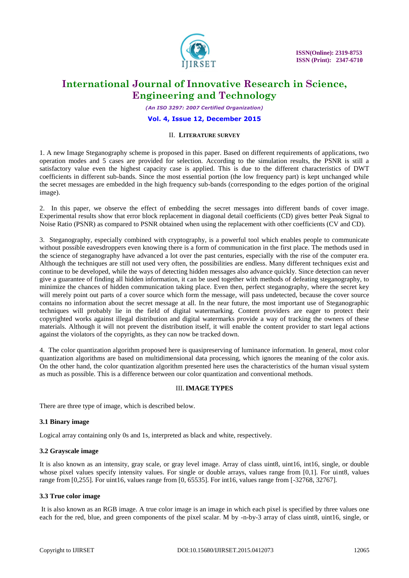

*(An ISO 3297: 2007 Certified Organization)*

#### **Vol. 4, Issue 12, December 2015**

#### II. **LITERATURE SURVEY**

1. A new Image Steganography scheme is proposed in this paper. Based on different requirements of applications, two operation modes and 5 cases are provided for selection. According to the simulation results, the PSNR is still a satisfactory value even the highest capacity case is applied. This is due to the different characteristics of DWT coefficients in different sub-bands. Since the most essential portion (the low frequency part) is kept unchanged while the secret messages are embedded in the high frequency sub-bands (corresponding to the edges portion of the original image).

2. In this paper, we observe the effect of embedding the secret messages into different bands of cover image. Experimental results show that error block replacement in diagonal detail coefficients (CD) gives better Peak Signal to Noise Ratio (PSNR) as compared to PSNR obtained when using the replacement with other coefficients (CV and CD).

3. Steganography, especially combined with cryptography, is a powerful tool which enables people to communicate without possible eavesdroppers even knowing there is a form of communication in the first place. The methods used in the science of steganography have advanced a lot over the past centuries, especially with the rise of the computer era. Although the techniques are still not used very often, the possibilities are endless. Many different techniques exist and continue to be developed, while the ways of detecting hidden messages also advance quickly. Since detection can never give a guarantee of finding all hidden information, it can be used together with methods of defeating steganography, to minimize the chances of hidden communication taking place. Even then, perfect steganography, where the secret key will merely point out parts of a cover source which form the message, will pass undetected, because the cover source contains no information about the secret message at all. In the near future, the most important use of Steganographic techniques will probably lie in the field of digital watermarking. Content providers are eager to protect their copyrighted works against illegal distribution and digital watermarks provide a way of tracking the owners of these materials. Although it will not prevent the distribution itself, it will enable the content provider to start legal actions against the violators of the copyrights, as they can now be tracked down.

4. The color quantization algorithm proposed here is quasipreserving of luminance information. In general, most color quantization algorithms are based on multidimensional data processing, which ignores the meaning of the color axis. On the other hand, the color quantization algorithm presented here uses the characteristics of the human visual system as much as possible. This is a difference between our color quantization and conventional methods.

### III.**IMAGE TYPES**

There are three type of image, which is described below.

#### **3.1 Binary image**

Logical array containing only 0s and 1s, interpreted as black and white, respectively.

#### **3.2 Grayscale image**

It is also known as an intensity, gray scale, or gray level image. Array of class uint8, uint16, int16, single, or double whose pixel values specify intensity values. For single or double arrays, values range from [0,1]. For uint8, values range from [0,255]. For uint16, values range from [0, 65535]. For int16, values range from [-32768, 32767].

#### **3.3 True color image**

It is also known as an RGB image. A true color image is an image in which each pixel is specified by three values one each for the red, blue, and green components of the pixel scalar. M by -n-by-3 array of class uint8, uint16, single, or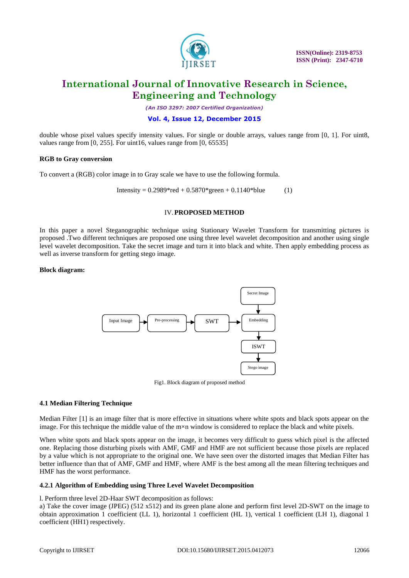

*(An ISO 3297: 2007 Certified Organization)*

## **Vol. 4, Issue 12, December 2015**

double whose pixel values specify intensity values. For single or double arrays, values range from [0, 1]. For uint8, values range from [0, 255]. For uint16, values range from [0, 65535]

#### **RGB to Gray conversion**

To convert a (RGB) color image in to Gray scale we have to use the following formula.

Intensity =  $0.2989*$ red +  $0.5870*$  green +  $0.1140*$ blue (1)

#### IV.**PROPOSED METHOD**

In this paper a novel Steganographic technique using Stationary Wavelet Transform for transmitting pictures is proposed .Two different techniques are proposed one using three level wavelet decomposition and another using single level wavelet decomposition. Take the secret image and turn it into black and white. Then apply embedding process as well as inverse transform for getting stego image.

#### **Block diagram:**



Fig1. Block diagram of proposed method

### **4.1 Median Filtering Technique**

Median Filter [1] is an image filter that is more effective in situations where white spots and black spots appear on the image. For this technique the middle value of the m×n window is considered to replace the black and white pixels.

When white spots and black spots appear on the image, it becomes very difficult to guess which pixel is the affected one. Replacing those disturbing pixels with AMF, GMF and HMF are not sufficient because those pixels are replaced by a value which is not appropriate to the original one. We have seen over the distorted images that Median Filter has better influence than that of AMF, GMF and HMF, where AMF is the best among all the mean filtering techniques and HMF has the worst performance.

### **4.2.1 Algorithm of Embedding using Three Level Wavelet Decomposition**

l. Perform three level 2D-Haar SWT decomposition as follows:

a) Take the cover image (JPEG) (512 x512) and its green plane alone and perform first level 2D-SWT on the image to obtain approximation 1 coefficient (LL 1), horizontal 1 coefficient (HL 1), vertical 1 coefficient (LH 1), diagonal 1 coefficient (HH1) respectively.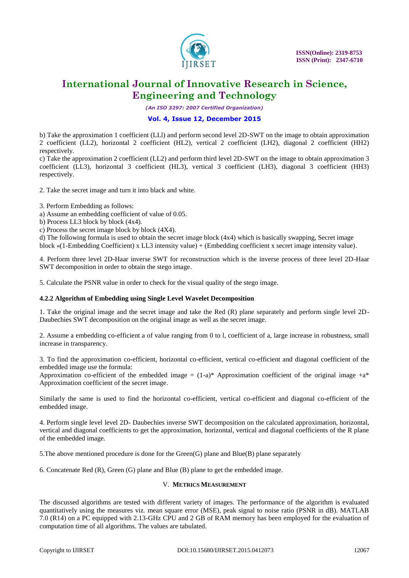

*(An ISO 3297: 2007 Certified Organization)*

# **Vol. 4, Issue 12, December 2015**

b) Take the approximation 1 coefficient (LLl) and perform second level 2D-SWT on the image to obtain approximation 2 coefficient (LL2), horizontal 2 coefficient (HL2), vertical 2 coefficient (LH2), diagonal 2 coefficient (HH2) respectively.

c) Take the approximation 2 coefficient (LL2) and perform third level 2D-SWT on the image to obtain approximation 3 coefficient (LL3), horizontal 3 coefficient (HL3), vertical 3 coefficient (LH3), diagonal 3 coefficient (HH3) respectively.

2. Take the secret image and turn it into black and white.

- 3. Perform Embedding as follows:
- a) Assume an embedding coefficient of value of 0.05.
- b) Process LL3 block by block (4x4).
- c) Process the secret image block by block (4X4).

d) The following formula is used to obtain the secret image block (4x4) which is basically swapping, Secret image block «(1-Embedding Coefficient) x LL3 intensity value) + (Embedding coefficient x secret image intensity value).

4. Perform three level 2D-Haar inverse SWT for reconstruction which is the inverse process of three level 2D-Haar SWT decomposition in order to obtain the stego image.

5. Calculate the PSNR value in order to check for the visual quality of the stego image.

### **4.2.2 Algorithm of Embedding using Single Level Wavelet Decomposition**

1. Take the original image and the secret image and take the Red (R) plane separately and perform single level 2D-Daubechies SWT decomposition on the original image as well as the secret image.

2. Assume a embedding co-efficient a of value ranging from 0 to l, coefficient of a, large increase in robustness, small increase in transparency.

3. To find the approximation co-efficient, horizontal co-efficient, vertical co-efficient and diagonal coefficient of the embedded image use the formula:

Approximation co-efficient of the embedded image  $=(1-a)^*$  Approximation coefficient of the original image  $+a^*$ Approximation coefficient of the secret image.

Similarly the same is used to find the horizontal co-efficient, vertical co-efficient and diagonal co-efficient of the embedded image.

4. Perform single level level 2D- Daubechies inverse SWT decomposition on the calculated approximation, horizontal, vertical and diagonal coefficients to get the approximation, horizontal, vertical and diagonal coefficients of the R plane of the embedded image.

5.The above mentioned procedure is done for the Green(G) plane and Blue(B) plane separately

6. Concatenate Red (R), Green (G) plane and Blue (B) plane to get the embedded image.

### V. **METRICS MEASUREMENT**

The discussed algorithms are tested with different variety of images. The performance of the algorithm is evaluated quantitatively using the measures viz. mean square error (MSE), peak signal to noise ratio (PSNR in dB). MATLAB 7.0 (R14) on a PC equipped with 2.13-GHz CPU and 2 GB of RAM memory has been employed for the evaluation of computation time of all algorithms. The values are tabulated.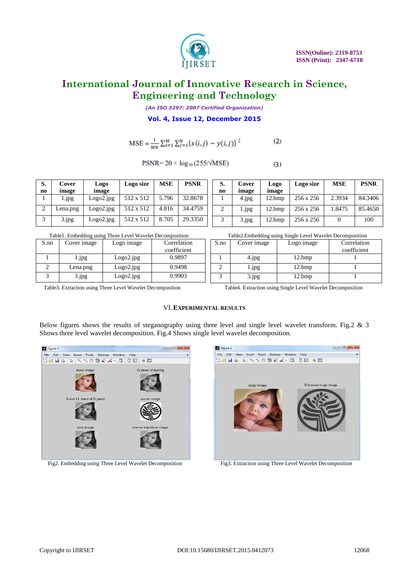

*(An ISO 3297: 2007 Certified Organization)*

**Vol. 4, Issue 12, December 2015**

$$
MSE = \frac{1}{MN} \sum_{i=1}^{M} \sum_{j=1}^{N} \{x(i,j) - y(i,j)\}^{2}
$$
 (2)

$$
PSNR = 20 \times \log_{10}(255/\sqrt{MSE})
$$

| S.<br>no | Cover<br>image | Logo<br>image | Logo size | <b>MSE</b> | <b>PSNR</b> |
|----------|----------------|---------------|-----------|------------|-------------|
|          | 1.jpg          | Logo2.jpg     | 512 x 512 | 5.796      | 32.8678     |
| 2        | Lena.png       | Logo2.jpg     | 512 x 512 | 4.816      | 34.4759     |
| 3        | 3.jpg          | Logo2.jpg     | 512 x 512 | 8.705      | 29.3350     |

| S.<br>no | Cover<br>image | Logo<br>image | Logo size | <b>MSE</b> | <b>PSNR</b> |
|----------|----------------|---------------|-----------|------------|-------------|
|          | 4.jpg          | 12.bmp        | 256 x 256 | 2.3934     | 84.3406     |
|          | 1.jpg          | $12.$ bmp     | 256 x 256 | 1.8475     | 85.4650     |
| 3        | 3.jpg          | 12.bmp        | 256 x 256 |            | 100         |

 $(3)$ 

Table1. Embedding using Three Level Wavelet Decomposition Table2.Embedding using Single Level Wavelet Decomposition

| S.no | Cover image | Logo image | Correlation |
|------|-------------|------------|-------------|
|      |             |            | coefficient |
|      | 1.jpg       | Logo2.jpg  | 0.9897      |
|      | Lena.png    | Logo2.jpg  | 0.9498      |
|      | 3.jpg       | Logo2.jpg  | 0.9903      |

| S.no | Cover image | Logo image | Correlation |
|------|-------------|------------|-------------|
|      |             |            | coefficient |
|      | 4.jpg       | 12.bmp     |             |
|      | 1.jpg       | 12.bmp     |             |
|      | 3.jpg       | 12.bmp     |             |

Table3. Extraction using Three Level Wavelet Decomposition Table4. Extraction using Single Level Wavelet Decomposition

# VI.**EXPERIMENTAL RESULTS**

Below figures shows the results of steganography using three level and single level wavelet transform. Fig.2  $\&$  3 Shows three level wavelet decomposition. Fig.4 Shows single level wavelet decomposition.



Fig2. Embedding using Three Level Wavelet Decomposition Fig3. Extraction using Three Level Wavelet Decomposition